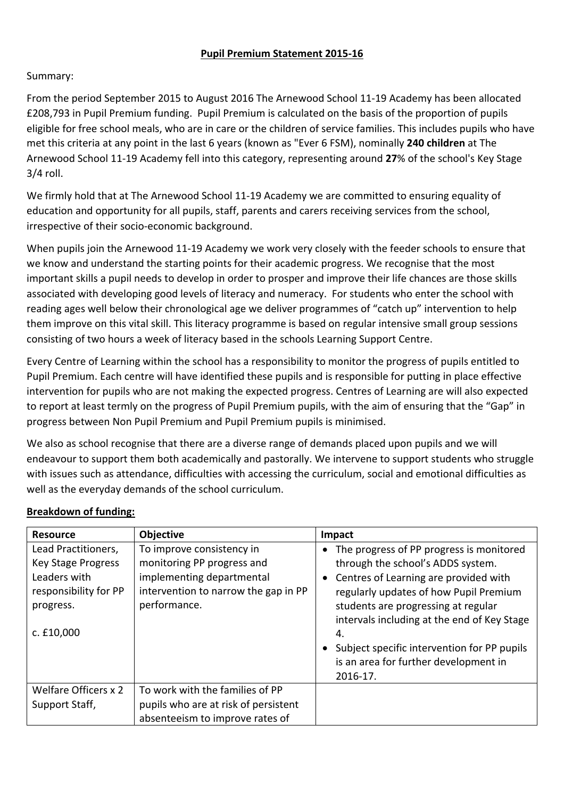## **Pupil Premium Statement 2015-16**

## Summary:

From the period September 2015 to August 2016 The Arnewood School 11-19 Academy has been allocated £208,793 in Pupil Premium funding. Pupil Premium is calculated on the basis of the proportion of pupils eligible for free school meals, who are in care or the children of service families. This includes pupils who have met this criteria at any point in the last 6 years (known as "Ever 6 FSM), nominally **240 children** at The Arnewood School 11-19 Academy fell into this category, representing around 27% of the school's Key Stage 3/4 roll.

We firmly hold that at The Arnewood School 11-19 Academy we are committed to ensuring equality of education and opportunity for all pupils, staff, parents and carers receiving services from the school, irrespective of their socio-economic background.

When pupils join the Arnewood 11-19 Academy we work very closely with the feeder schools to ensure that we know and understand the starting points for their academic progress. We recognise that the most important skills a pupil needs to develop in order to prosper and improve their life chances are those skills associated with developing good levels of literacy and numeracy. For students who enter the school with reading ages well below their chronological age we deliver programmes of "catch up" intervention to help them improve on this vital skill. This literacy programme is based on regular intensive small group sessions consisting of two hours a week of literacy based in the schools Learning Support Centre.

Every Centre of Learning within the school has a responsibility to monitor the progress of pupils entitled to Pupil Premium. Each centre will have identified these pupils and is responsible for putting in place effective intervention for pupils who are not making the expected progress. Centres of Learning are will also expected to report at least termly on the progress of Pupil Premium pupils, with the aim of ensuring that the "Gap" in progress between Non Pupil Premium and Pupil Premium pupils is minimised.

We also as school recognise that there are a diverse range of demands placed upon pupils and we will endeavour to support them both academically and pastorally. We intervene to support students who struggle with issues such as attendance, difficulties with accessing the curriculum, social and emotional difficulties as well as the everyday demands of the school curriculum.

| <b>Resource</b>                                                                           | Objective                                                                                                                    | Impact                                                                                                                                                                                       |
|-------------------------------------------------------------------------------------------|------------------------------------------------------------------------------------------------------------------------------|----------------------------------------------------------------------------------------------------------------------------------------------------------------------------------------------|
| Lead Practitioners,<br><b>Key Stage Progress</b><br>Leaders with<br>responsibility for PP | To improve consistency in<br>monitoring PP progress and<br>implementing departmental<br>intervention to narrow the gap in PP | The progress of PP progress is monitored<br>through the school's ADDS system.<br>Centres of Learning are provided with<br>regularly updates of how Pupil Premium                             |
| progress.<br>c. £10,000                                                                   | performance.                                                                                                                 | students are progressing at regular<br>intervals including at the end of Key Stage<br>4.<br>Subject specific intervention for PP pupils<br>is an area for further development in<br>2016-17. |
| Welfare Officers x 2<br>Support Staff,                                                    | To work with the families of PP<br>pupils who are at risk of persistent<br>absenteeism to improve rates of                   |                                                                                                                                                                                              |

## **Breakdown of funding:**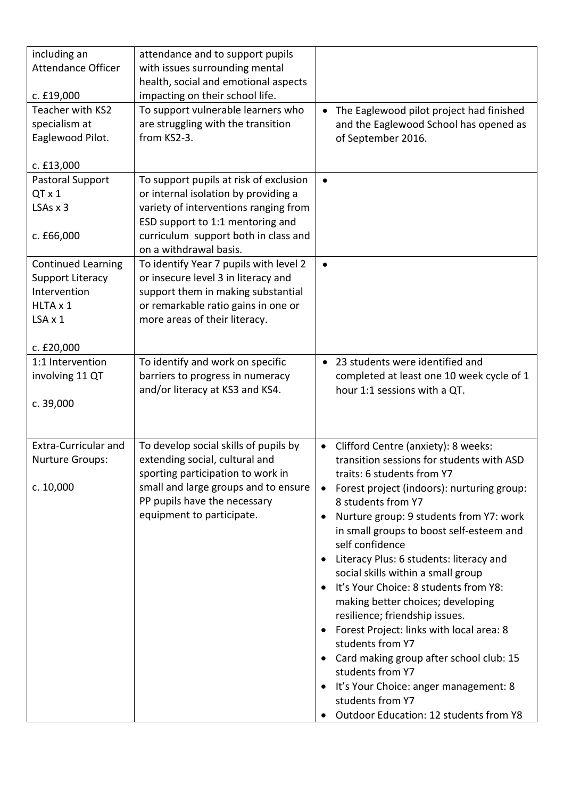| including an<br><b>Attendance Officer</b>             | attendance and to support pupils<br>with issues surrounding mental<br>health, social and emotional aspects |                                                                                                          |
|-------------------------------------------------------|------------------------------------------------------------------------------------------------------------|----------------------------------------------------------------------------------------------------------|
| c. £19,000                                            | impacting on their school life.                                                                            |                                                                                                          |
| Teacher with KS2<br>specialism at<br>Eaglewood Pilot. | To support vulnerable learners who<br>are struggling with the transition<br>from KS2-3.                    | The Eaglewood pilot project had finished<br>and the Eaglewood School has opened as<br>of September 2016. |
| c. £13,000                                            |                                                                                                            |                                                                                                          |
| Pastoral Support                                      | To support pupils at risk of exclusion                                                                     |                                                                                                          |
| QT x 1                                                | or internal isolation by providing a                                                                       |                                                                                                          |
| $LSAs \times 3$                                       | variety of interventions ranging from                                                                      |                                                                                                          |
|                                                       | ESD support to 1:1 mentoring and                                                                           |                                                                                                          |
| c. £66,000                                            | curriculum support both in class and                                                                       |                                                                                                          |
|                                                       | on a withdrawal basis.                                                                                     |                                                                                                          |
| <b>Continued Learning</b>                             | To identify Year 7 pupils with level 2                                                                     | $\bullet$                                                                                                |
| <b>Support Literacy</b><br>Intervention               | or insecure level 3 in literacy and                                                                        |                                                                                                          |
| HLTA x 1                                              | support them in making substantial<br>or remarkable ratio gains in one or                                  |                                                                                                          |
| $LSA \times 1$                                        | more areas of their literacy.                                                                              |                                                                                                          |
|                                                       |                                                                                                            |                                                                                                          |
| c. £20,000                                            |                                                                                                            |                                                                                                          |
| 1:1 Intervention                                      | To identify and work on specific                                                                           | • 23 students were identified and                                                                        |
| involving 11 QT                                       | barriers to progress in numeracy                                                                           | completed at least one 10 week cycle of 1                                                                |
|                                                       | and/or literacy at KS3 and KS4.                                                                            | hour 1:1 sessions with a QT.                                                                             |
| c. 39,000                                             |                                                                                                            |                                                                                                          |
|                                                       |                                                                                                            |                                                                                                          |
|                                                       |                                                                                                            |                                                                                                          |
| <b>Extra-Curricular and</b><br><b>Nurture Groups:</b> | To develop social skills of pupils by<br>extending social, cultural and                                    | Clifford Centre (anxiety): 8 weeks:<br>$\bullet$<br>transition sessions for students with ASD            |
|                                                       | sporting participation to work in                                                                          | traits: 6 students from Y7                                                                               |
| c. 10,000                                             | small and large groups and to ensure                                                                       | Forest project (indoors): nurturing group:<br>$\bullet$                                                  |
|                                                       | PP pupils have the necessary                                                                               | 8 students from Y7                                                                                       |
|                                                       | equipment to participate.                                                                                  | Nurture group: 9 students from Y7: work                                                                  |
|                                                       |                                                                                                            | in small groups to boost self-esteem and                                                                 |
|                                                       |                                                                                                            | self confidence                                                                                          |
|                                                       |                                                                                                            | Literacy Plus: 6 students: literacy and<br>٠                                                             |
|                                                       |                                                                                                            | social skills within a small group                                                                       |
|                                                       |                                                                                                            | It's Your Choice: 8 students from Y8:<br>$\bullet$                                                       |
|                                                       |                                                                                                            | making better choices; developing                                                                        |
|                                                       |                                                                                                            | resilience; friendship issues.                                                                           |
|                                                       |                                                                                                            | Forest Project: links with local area: 8<br>$\bullet$                                                    |
|                                                       |                                                                                                            | students from Y7                                                                                         |
|                                                       |                                                                                                            | Card making group after school club: 15<br>students from Y7                                              |
|                                                       |                                                                                                            |                                                                                                          |
|                                                       |                                                                                                            |                                                                                                          |
|                                                       |                                                                                                            | It's Your Choice: anger management: 8<br>$\bullet$                                                       |
|                                                       |                                                                                                            | students from Y7<br>Outdoor Education: 12 students from Y8                                               |